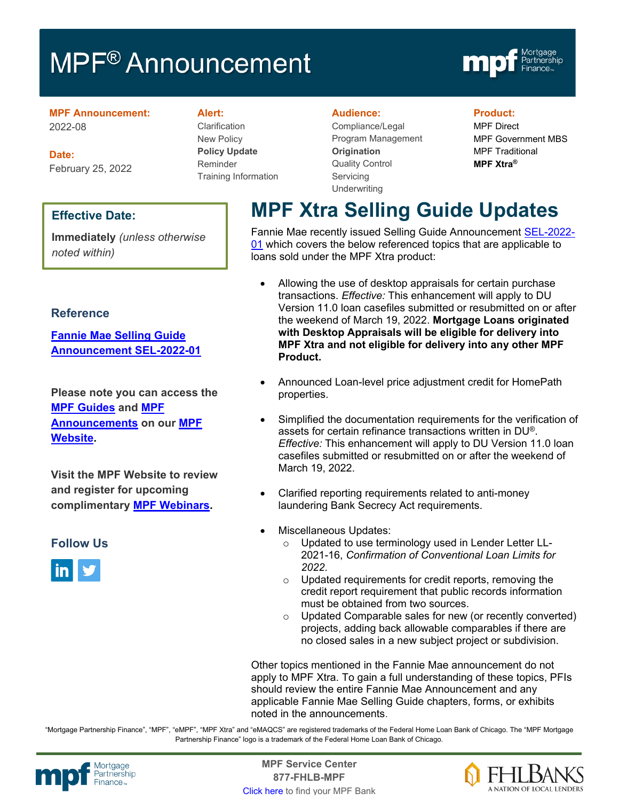# MPF<sup>®</sup> Announcement



#### **MPF Announcement:** 2022-08

**Date:** February 25, 2022

### **Effective Date:**

**Immediately** *(unless otherwise noted within)*

### **Reference**

**[Fannie Mae Selling Guide](https://singlefamily.fanniemae.com/media/30466/display)  [Announcement SEL-2022-01](https://singlefamily.fanniemae.com/media/30466/display)**

**Please note you can access the [MPF Guides](https://fhlbmpf.com/mpf-guides/guides) and [MPF](https://fhlbmpf.com/mpf-guides/announcements)  [Announcements](https://fhlbmpf.com/mpf-guides/announcements) on our [MPF](https://fhlbmpf.com/)  [Website.](https://fhlbmpf.com/)** 

**Visit the MPF Website to review and register for upcoming complimentary [MPF Webinars.](https://www.fhlbmpf.com/education/upcoming-webinars)**

# **Follow Us**



#### **Alert:**

Clarification New Policy **Policy Update** Reminder Training Information

#### **Audience:**

Compliance/Legal Program Management **Origination**  Quality Control **Servicing Underwriting** 

#### **Product:**

MPF Direct MPF Government MBS MPF Traditional **MPF Xtra®**

# **MPF Xtra Selling Guide Updates**

Fannie Mae recently issued Selling Guide Announcement [SEL-2022-](https://singlefamily.fanniemae.com/media/30466/display) [01](https://singlefamily.fanniemae.com/media/30466/display) which covers the below referenced topics that are applicable to loans sold under the MPF Xtra product:

- Allowing the use of desktop appraisals for certain purchase transactions. *Effective:* This enhancement will apply to DU Version 11.0 loan casefiles submitted or resubmitted on or after the weekend of March 19, 2022. **Mortgage Loans originated with Desktop Appraisals will be eligible for delivery into MPF Xtra and not eligible for delivery into any other MPF Product.**
- Announced Loan-level price adjustment credit for HomePath properties.
- Simplified the documentation requirements for the verification of assets for certain refinance transactions written in DU®. *Effective:* This enhancement will apply to DU Version 11.0 loan casefiles submitted or resubmitted on or after the weekend of March 19, 2022.
- Clarified reporting requirements related to anti-money laundering Bank Secrecy Act requirements.
- Miscellaneous Updates:
	- Updated to use terminology used in Lender Letter LL-2021-16, *Confirmation of Conventional Loan Limits for 2022*.
	- o Updated requirements for credit reports, removing the credit report requirement that public records information must be obtained from two sources.
	- o Updated Comparable sales for new (or recently converted) projects, adding back allowable comparables if there are no closed sales in a new subject project or subdivision.

Other topics mentioned in the Fannie Mae announcement do not apply to MPF Xtra. To gain a full understanding of these topics, PFIs should review the entire Fannie Mae Announcement and any applicable Fannie Mae Selling Guide chapters, forms, or exhibits noted in the announcements.

"Mortgage Partnership Finance", "MPF", "eMPF", "MPF Xtra" and "eMAQCS" are registered trademarks of the Federal Home Loan Bank of Chicago. The "MPF Mortgage Partnership Finance" logo is a trademark of the Federal Home Loan Bank of Chicago.



Mortgage **Center Service Center**<br>Partnership **Canadian Center Service Center**<br> **Partnership CALL SANGE CANADIAN CENTER SERVICE PROPERTY 877-FHLB-MPF** [Click here](https://www.fhlbmpf.com/fhlbanks/fhlbanks) to find your MPF Bank

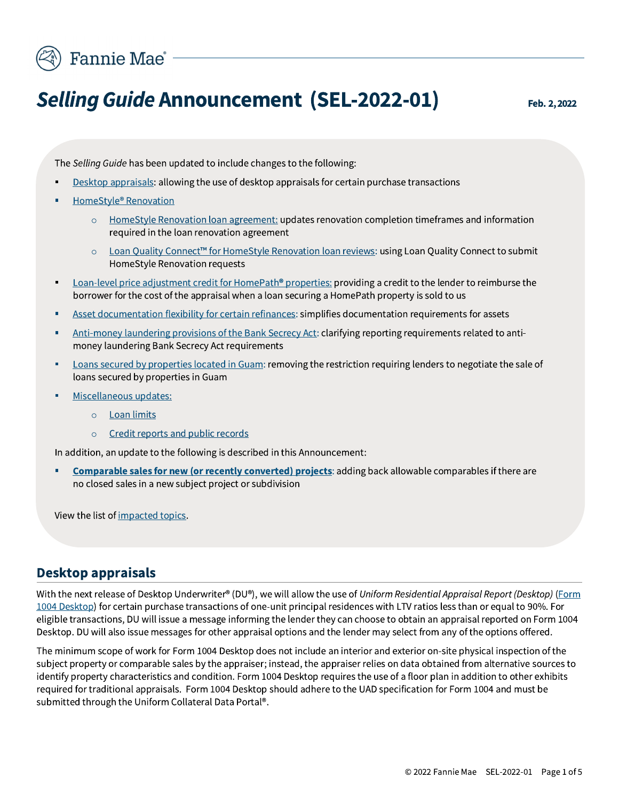

# **Selling Guide Announcement (SEL-2022-01)**

The Selling Guide has been updated to include changes to the following:

- Desktop appraisals: allowing the use of desktop appraisals for certain purchase transactions
- HomeStyle® Renovation
	- $\circ$  Home Style Renovation loan agreement: updates renovation completion time frames and information required in the loan renovation agreement
	- Loan Quality Connect<sup>™</sup> for HomeStyle Renovation loan reviews: using Loan Quality Connect to submit HomeStyle Renovation requests
- Loan-level price adjustment credit for HomePath® properties: providing a credit to the lender to reimburse the  $\blacksquare$ borrower for the cost of the appraisal when a loan securing a HomePath property is sold to us
- Asset documentation flexibility for certain refinances: simplifies documentation requirements for assets ٠
- Anti-money laundering provisions of the Bank Secrecy Act: clarifying reporting requirements related to antimoney laundering Bank Secrecy Act requirements
- Loans secured by properties located in Guam: removing the restriction requiring lenders to negotiate the sale of ٠ loans secured by properties in Guam
- Miscellaneous updates: ×
	- o Loan limits
	- Credit reports and public records  $\circ$

In addition, an update to the following is described in this Announcement:

**Comparable sales for new (or recently converted) projects:** adding back allowable comparables if there are × no closed sales in a new subject project or subdivision

View the list of impacted topics.

### **Desktop appraisals**

With the next release of Desktop Underwriter® (DU®), we will allow the use of Uniform Residential Appraisal Report (Desktop) (Form 1004 Desktop) for certain purchase transactions of one-unit principal residences with LTV ratios less than or equal to 90%. For eligible transactions, DU will issue a message informing the lender they can choose to obtain an appraisal reported on Form 1004 Desktop. DU will also issue messages for other appraisal options and the lender may select from any of the options offered.

The minimum scope of work for Form 1004 Desktop does not include an interior and exterior on-site physical inspection of the subject property or comparable sales by the appraiser; instead, the appraiser relies on data obtained from alternative sources to identify property characteristics and condition. Form 1004 Desktop requires the use of a floor plan in addition to other exhibits required for traditional appraisals. Form 1004 Desktop should adhere to the UAD specification for Form 1004 and must be submitted through the Uniform Collateral Data Portal®.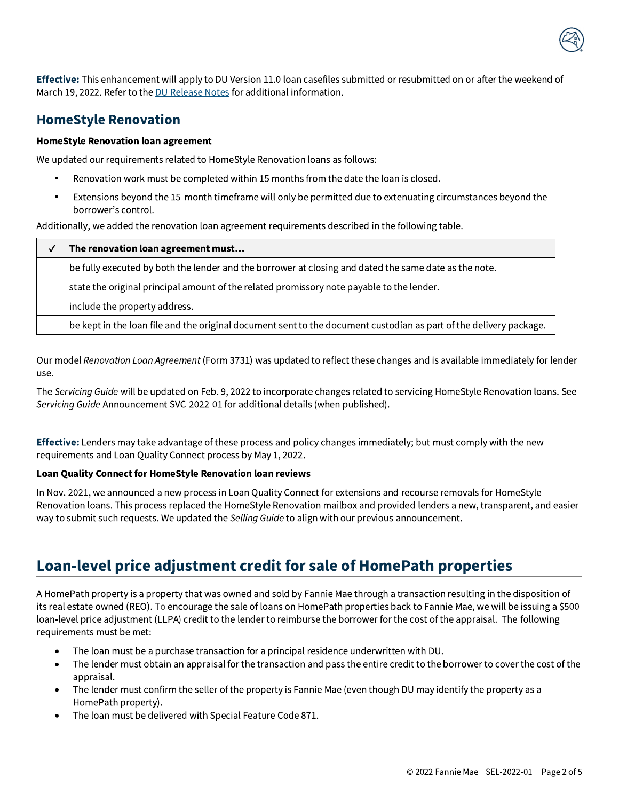

Effective: This enhancement will apply to DU Version 11.0 loan casefiles submitted or resubmitted on or after the weekend of March 19, 2022. Refer to the DU Release Notes for additional information.

# **HomeStyle Renovation**

#### **HomeStyle Renovation loan agreement**

We updated our requirements related to HomeStyle Renovation loans as follows:

- Renovation work must be completed within 15 months from the date the loan is closed.
- Extensions beyond the 15-month timeframe will only be permitted due to extenuating circumstances beyond the borrower's control.

Additionally, we added the renovation loan agreement requirements described in the following table.

| $\checkmark$ | The renovation loan agreement must                                                                                 |
|--------------|--------------------------------------------------------------------------------------------------------------------|
|              | be fully executed by both the lender and the borrower at closing and dated the same date as the note.              |
|              | state the original principal amount of the related promissory note payable to the lender.                          |
|              | include the property address.                                                                                      |
|              | be kept in the loan file and the original document sent to the document custodian as part of the delivery package. |

Our model Renovation Loan Agreement (Form 3731) was updated to reflect these changes and is available immediately for lender use.

The Servicing Guide will be updated on Feb. 9, 2022 to incorporate changes related to servicing HomeStyle Renovation loans. See Servicing Guide Announcement SVC-2022-01 for additional details (when published).

Effective: Lenders may take advantage of these process and policy changes immediately; but must comply with the new requirements and Loan Quality Connect process by May 1, 2022.

#### Loan Quality Connect for HomeStyle Renovation loan reviews

In Nov. 2021, we announced a new process in Loan Quality Connect for extensions and recourse removals for HomeStyle Renovation loans. This process replaced the HomeStyle Renovation mailbox and provided lenders a new, transparent, and easier way to submit such requests. We updated the Selling Guide to align with our previous announcement.

# Loan-level price adjustment credit for sale of HomePath properties

A HomePath property is a property that was owned and sold by Fannie Mae through a transaction resulting in the disposition of its real estate owned (REO). To encourage the sale of loans on HomePath properties back to Fannie Mae, we will be issuing a \$500 loan-level price adjustment (LLPA) credit to the lender to reimburse the borrower for the cost of the appraisal. The following requirements must be met:

- The loan must be a purchase transaction for a principal residence underwritten with DU.
- The lender must obtain an appraisal for the transaction and pass the entire credit to the borrower to cover the cost of the  $\bullet$ appraisal.
- The lender must confirm the seller of the property is Fannie Mae (even though DU may identify the property as a  $\bullet$ HomePath property).
- The loan must be delivered with Special Feature Code 871.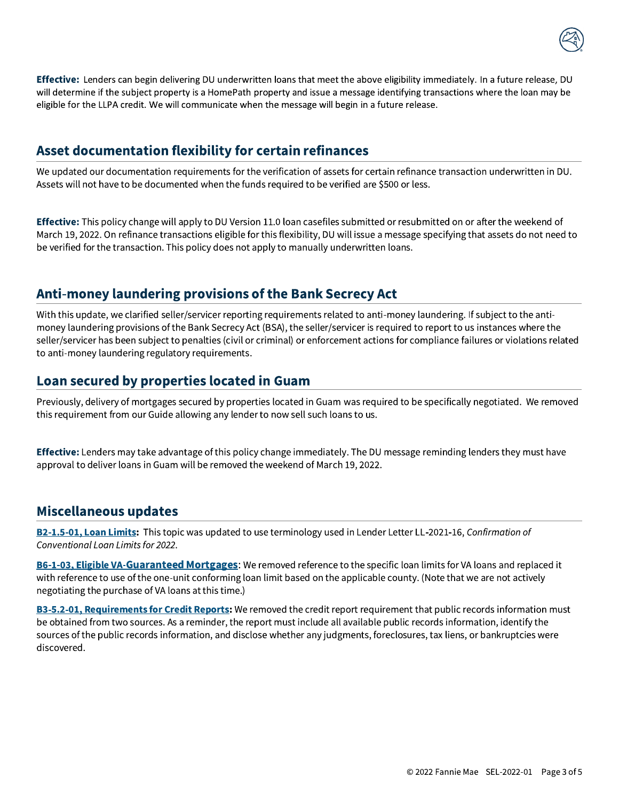

Effective: Lenders can begin delivering DU underwritten loans that meet the above eligibility immediately. In a future release, DU<br>will determine if the subject property is a HomePath property and issue a message identify Effective: Lenders can begin delivering DU underwritten loans that meet the above eligibility immediately. In a future release, DU<br>
will determine if the subject property is a HomePath property and issue a message identify Effective: Lenders can begin delivering DU underwritten loans that meet the above eligibility imme<br>
will determine if the subject property is a HomePath property and issue a message identifying transa<br>
eligible for the LLP

# Asset documentation flexibility for certain refinances

We updated our documentation requirements for the verification of assets for certain refinance transaction underwritten in DU. Assets will not have to be documented when the funds required to be verified are \$500 or less.

Effective: This policy change will apply to DU Version 11.0 loan casefiles submitted or resubmitted on or after the weekend of March 19, 2022. On refinance transactions eligible for this flexibility, DU will issue a message specifying that assets do not need to be verified for the transaction. This policy does not apply to manually underwritten loans.

# Anti-money laundering provisions of the Bank Secrecy Act

With this update, we clarified seller/servicer reporting requirements related to anti-money laundering. If subject to the antimoney laundering provisions of the Bank Secrecy Act (BSA), the seller/servicer is required to report to us instances where the seller/servicer has been subject to penalties (civil or criminal) or enforcement actions for compliance failures or violations related to anti-money laundering regulatory requirements.

# Loan secured by properties located in Guam

Previously, delivery of mortgages secured by properties located in Guam was required to be specifically negotiated. We removed this requirement from our Guide allowing any lender to now sell such loans to us.

Effective: Lenders may take advantage of this policy change immediately. The DU message reminding lenders they must have approval to deliver loans in Guam will be removed the weekend of March 19, 2022.  $\,$ 

# **Miscellaneous updates**

B2-1.5-01, Loan Limits: This topic was updated to use terminology used in Lender Letter LL-2021-16, Confirmation of Conventional Loan Limits for 2022.

B6-1-03, Eligible VA-Guaranteed Mortgages: We removed reference to the specific loan limits for VA loans and replaced it with reference to use of the one-unit conforming loan limit based on the applicable county. (Note that we are not actively negotiating the purchase of VA loans at this time.)

B3-5.2-01, Requirements for Credit Reports: We removed the credit report requirement that public records information must be obtained from two sources. As a reminder, the report must include all available public records information, identify the sources of the public records information, and disclose whether any judgments, foreclosures, tax liens, or bankruptcies were discovered.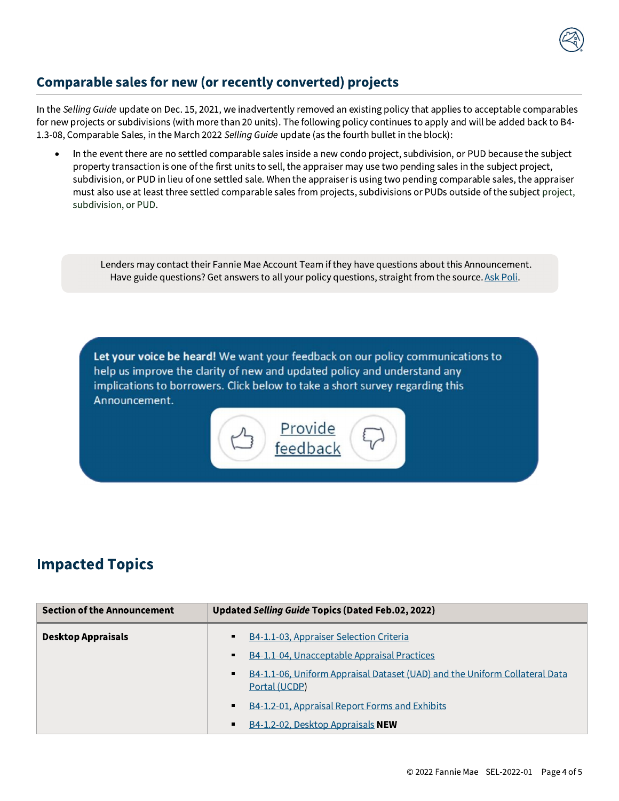

# Comparable sales for new (or recently converted) projects

In the Selling Guide update on Dec. 15, 2021, we inadvertently removed an existing policy that applies to acceptable comparables for new projects or subdivisions (with more than 20 units). The following policy continues to apply and will be added back to B4-1.3-08, Comparable Sales, in the March 2022 Selling Guide update (as the fourth bullet in the block):

In the event there are no settled comparable sales inside a new condo project, subdivision, or PUD because the subject property transaction is one of the first units to sell, the appraiser may use two pending sales in the subject project, subdivision, or PUD in lieu of one settled sale. When the appraiser is using two pending comparable sales, the appraiser must also use at least three settled comparable sales from projects, subdivisions or PUDs outside of the subject project, subdivision, or PUD.

Lenders may contact their Fannie Mae Account Team if they have questions about this Announcement. Have guide questions? Get answers to all your policy questions, straight from the source. Ask Poli.

Let your voice be heard! We want your feedback on our policy communications to help us improve the clarity of new and updated policy and understand any implications to borrowers. Click below to take a short survey regarding this Announcement.

> Provide feedback

# **Impacted Topics**

| <b>Section of the Announcement</b> | Updated Selling Guide Topics (Dated Feb.02, 2022)                                           |
|------------------------------------|---------------------------------------------------------------------------------------------|
| <b>Desktop Appraisals</b>          | B4-1.1-03, Appraiser Selection Criteria                                                     |
|                                    | B4-1.1-04, Unacceptable Appraisal Practices                                                 |
|                                    | B4-1.1-06, Uniform Appraisal Dataset (UAD) and the Uniform Collateral Data<br>Portal (UCDP) |
|                                    | B4-1.2-01, Appraisal Report Forms and Exhibits                                              |
|                                    | B4-1.2-02, Desktop Appraisals NEW                                                           |